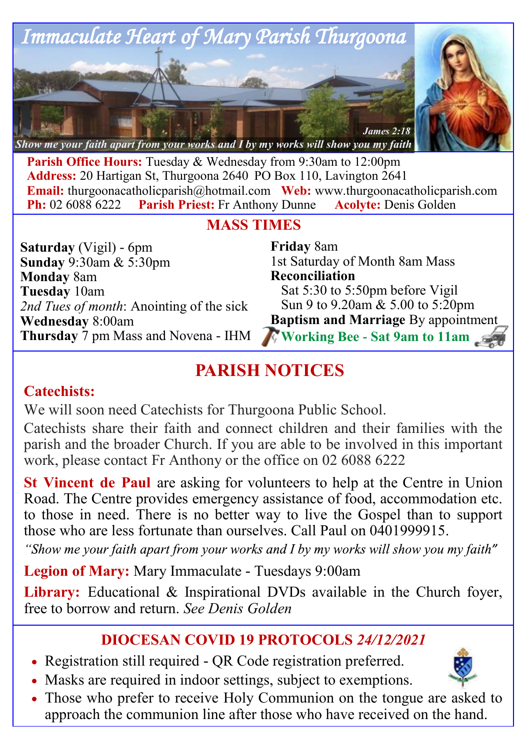

**Parish Office Hours:** Tuesday & Wednesday from 9:30am to 12:00pm **Address:** 20 Hartigan St, Thurgoona 2640 PO Box 110, Lavington 2641 **Email:** thurgoonacatholicparish@hotmail.com Web: www.thurgoonacatholicparish.com<br> **Ph:** 02 6088 6222 Parish Priest: Fr Anthony Dunne Acolyte: Denis Golden **Parish Priest:** Fr Anthony Dunne **Acolyte:** Denis Golden

# **MASS TIMES**

**Saturday** (Vigil) - 6pm **Sunday** 9:30am & 5:30pm **Monday** 8am **Tuesday** 10am *2nd Tues of month*: Anointing of the sick **Wednesday** 8:00am **Thursday** 7 pm Mass and Novena - IHM

**Friday** 8am 1st Saturday of Month 8am Mass **Reconciliation**  Sat 5:30 to 5:50pm before Vigil Sun 9 to 9.20am & 5.00 to 5:20pm **Baptism and Marriage** By appointment  **Working Bee - Sat 9am to 11am**

# **PARISH NOTICES**

# **Catechists:**

We will soon need Catechists for Thurgoona Public School.

Catechists share their faith and connect children and their families with the parish and the broader Church. If you are able to be involved in this important work, please contact Fr Anthony or the office on 02 6088 6222

**St Vincent de Paul** are asking for volunteers to help at the Centre in Union Road. The Centre provides emergency assistance of food, accommodation etc. to those in need. There is no better way to live the Gospel than to support those who are less fortunate than ourselves. Call Paul on 0401999915.

"Show me your faith apart from your works and I by my works will show you my faith"

**Legion of Mary:** Mary Immaculate - Tuesdays 9:00am

**Library:** Educational & Inspirational DVDs available in the Church foyer, free to borrow and return. *See Denis Golden* 

# **DIOCESAN COVID 19 PROTOCOLS** *24/12/2021*

- Registration still required QR Code registration preferred.
- Masks are required in indoor settings, subject to exemptions.



• Those who prefer to receive Holy Communion on the tongue are asked to approach the communion line after those who have received on the hand.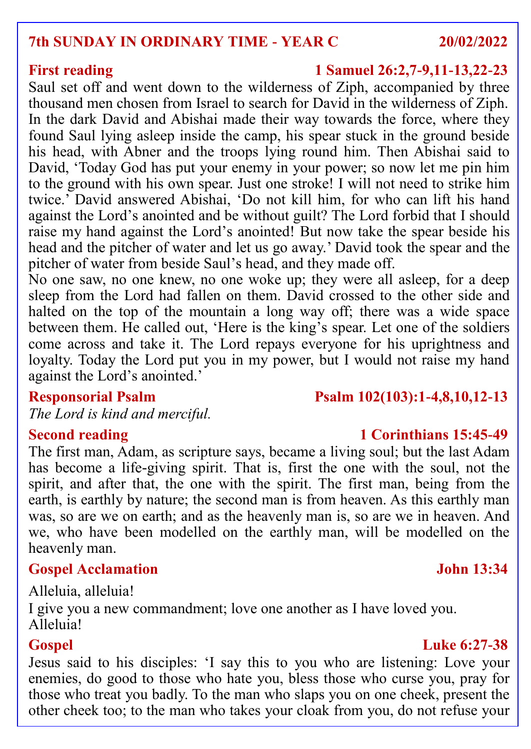# **7th SUNDAY IN ORDINARY TIME - YEAR C 20/02/2022**

### **First reading 1 Samuel 26:2,7-9,11-13,22-23**

Saul set off and went down to the wilderness of Ziph, accompanied by three thousand men chosen from Israel to search for David in the wilderness of Ziph. In the dark David and Abishai made their way towards the force, where they found Saul lying asleep inside the camp, his spear stuck in the ground beside his head, with Abner and the troops lying round him. Then Abishai said to David, 'Today God has put your enemy in your power; so now let me pin him to the ground with his own spear. Just one stroke! I will not need to strike him twice.' David answered Abishai, 'Do not kill him, for who can lift his hand against the Lord's anointed and be without guilt? The Lord forbid that I should raise my hand against the Lord's anointed! But now take the spear beside his head and the pitcher of water and let us go away.' David took the spear and the pitcher of water from beside Saul's head, and they made off.

No one saw, no one knew, no one woke up; they were all asleep, for a deep sleep from the Lord had fallen on them. David crossed to the other side and halted on the top of the mountain a long way off; there was a wide space between them. He called out, 'Here is the king's spear. Let one of the soldiers come across and take it. The Lord repays everyone for his uprightness and loyalty. Today the Lord put you in my power, but I would not raise my hand against the Lord's anointed.'

### **Responsorial Psalm Psalm 102(103):1-4,8,10,12-13** *The Lord is kind and merciful.*

The first man, Adam, as scripture says, became a living soul; but the last Adam has become a life-giving spirit. That is, first the one with the soul, not the spirit, and after that, the one with the spirit. The first man, being from the earth, is earthly by nature; the second man is from heaven. As this earthly man was, so are we on earth; and as the heavenly man is, so are we in heaven. And we, who have been modelled on the earthly man, will be modelled on the heavenly man.

# **Gospel Acclamation John 13:34**

Alleluia, alleluia!

I give you a new commandment; love one another as I have loved you. Alleluia!

Jesus said to his disciples: 'I say this to you who are listening: Love your enemies, do good to those who hate you, bless those who curse you, pray for those who treat you badly. To the man who slaps you on one cheek, present the other cheek too; to the man who takes your cloak from you, do not refuse your

# **Second reading 1 Corinthians 15:45-49**

### **Gospel Luke 6:27-38**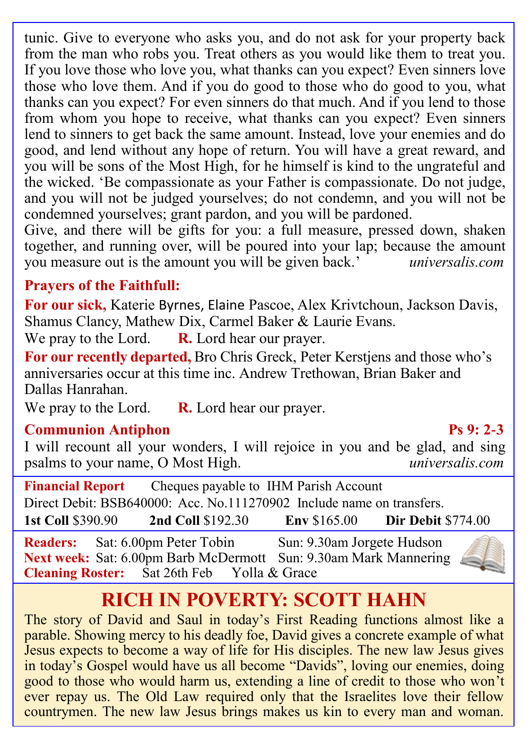tunic. Give to everyone who asks you, and do not ask for your property back from the man who robs you. Treat others as you would like them to treat you. If you love those who love you, what thanks can you expect? Even sinners love those who love them. And if you do good to those who do good to you, what thanks can you expect? For even sinners do that much. And if you lend to those from whom you hope to receive, what thanks can you expect? Even sinners lend to sinners to get back the same amount. Instead, love your enemies and do good, and lend without any hope of return. You will have a great reward, and you will be sons of the Most High, for he himself is kind to the ungrateful and the wicked. 'Be compassionate as your Father is compassionate. Do not judge, and you will not be judged yourselves; do not condemn, and you will not be condemned yourselves; grant pardon, and you will be pardoned.

Give, and there will be gifts for you: a full measure, pressed down, shaken together, and running over, will be poured into your lap; because the amount you measure out is the amount you will be given back.' *universalis.com*

# **Prayers of the Faithfull:**

**For our sick,** Katerie Byrnes, Elaine Pascoe, Alex Krivtchoun, Jackson Davis, Shamus Clancy, Mathew Dix, Carmel Baker & Laurie Evans.

We pray to the Lord. **R.** Lord hear our prayer.

**For our recently departed,** Bro Chris Greck, Peter Kerstjens and those who's anniversaries occur at this time inc. Andrew Trethowan, Brian Baker and Dallas Hanrahan.

We pray to the Lord. **R.** Lord hear our prayer.

# **Communion Antiphon Ps 9: 2-3**

I will recount all your wonders, I will rejoice in you and be glad, and sing psalms to your name. O Most High. psalms to your name, O Most High.

**Financial Report** Cheques payable to IHM Parish Account Direct Debit: BSB640000: Acc. No.111270902 Include name on transfers. **1st Coll** \$390.90 **2nd Coll** \$192.30 **Env** \$165.00 **Dir Debit** \$774.00

**Readers:** Sat: 6.00pm Peter Tobin Sun: 9.30am Jorgete Hudson **Next week:** Sat: 6.00pm Barb McDermott Sun: 9.30am Mark Mannering **Cleaning Roster:** Sat 26th Feb Yolla & Grace



# **RICH IN POVERTY: SCOTT HAHN**

The story of David and Saul in today's First Reading functions almost like a parable. Showing mercy to his deadly foe, David gives a concrete example of what Jesus expects to become a way of life for His disciples. The new law Jesus gives in today's Gospel would have us all become "Davids", loving our enemies, doing good to those who would harm us, extending a line of credit to those who won't ever repay us. The Old Law required only that the Israelites love their fellow countrymen. The new law Jesus brings makes us kin to every man and woman.